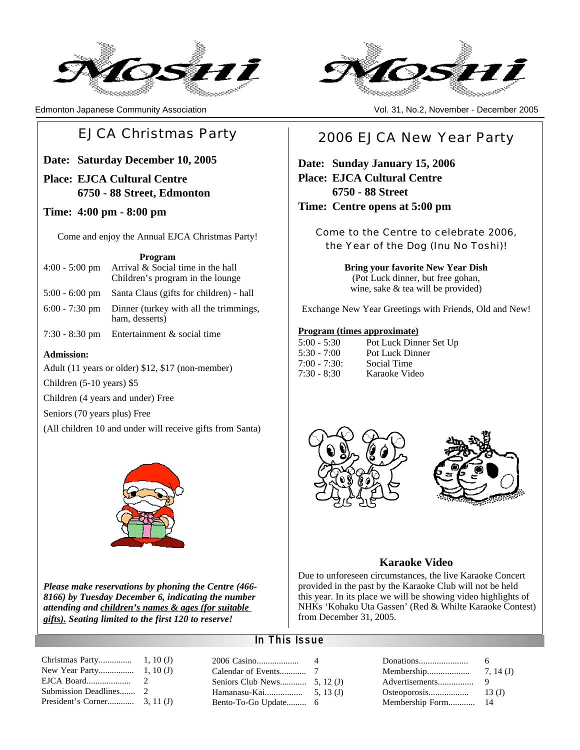



Edmonton Japanese Community Association Vol. 31, No.2, November - December 2005

## EJCA Christmas Party

**Date: Saturday December 10, 2005**

**Place: EJCA Cultural Centre 6750 - 88 Street, Edmonton**

#### **Time: 4:00 pm - 8:00 pm**

Come and enjoy the Annual EJCA Christmas Party!

**Program**

- 4:00 5:00 pm Arrival & Social time in the hall Children's program in the lounge
- 5:00 6:00 pm Santa Claus (gifts for children) hall
- 6:00 7:30 pm Dinner (turkey with all the trimmings, ham, desserts)
- 7:30 8:30 pm Entertainment & social time

#### **Admission:**

Adult (11 years or older) \$12, \$17 (non-member)

Children (5-10 years) \$5

Children (4 years and under) Free

Seniors (70 years plus) Free

(All children 10 and under will receive gifts from Santa)



*Please make reservations by phoning the Centre (466- 8166) by Tuesday December 6, indicating the number attending and children's names & ages (for suitable gifts). Seating limited to the first 120 to reserve!*

## 2006 EJCA New Year Party

**Date: Sunday January 15, 2006 Place: EJCA Cultural Centre 6750 - 88 Street Time: Centre opens at 5:00 pm**

> Come to the Centre to celebrate 2006, the Year of the Dog (Inu No Toshi)!

> > **Bring your favorite New Year Dish** (Pot Luck dinner, but free gohan, wine, sake & tea will be provided)

Exchange New Year Greetings with Friends, Old and New!

#### **Program (times approximate)**

| $5:00 - 5:30$ | Pot Luck Dinner Set Up |
|---------------|------------------------|
| $5:30 - 7:00$ | Pot Luck Dinner        |
| $7:00 - 7:30$ | Social Time            |
| $7:30 - 8:30$ | Karaoke Video          |





#### **Karaoke Video**

Due to unforeseen circumstances, the live Karaoke Concert provided in the past by the Karaoke Club will not be held this year. In its place we will be showing video highlights of NHKs 'Kohaku Uta Gassen' (Red & Whilte Karaoke Contest) from December 31, 2005.

#### **In This Issue**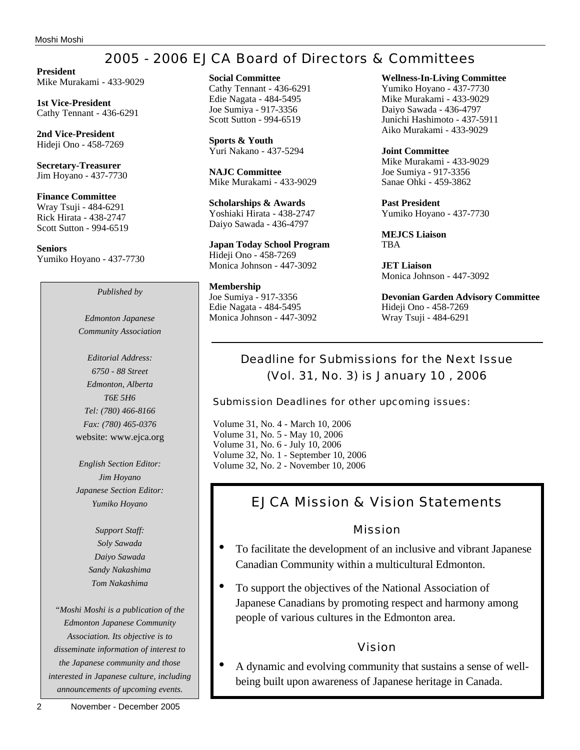# 2005 - 2006 EJCA Board of Directors & Committees

**President** Mike Murakami - 433-9029

**1st Vice-President** Cathy Tennant - 436-6291

**2nd Vice-President** Hideji Ono - 458-7269

**Secretary-Treasurer** Jim Hoyano - 437-7730

**Finance Committee** Wray Tsuji - 484-6291 Rick Hirata - 438-2747 Scott Sutton - 994-6519

**Seniors** Yumiko Hoyano - 437-7730

*Published by*

*Edmonton Japanese Community Association*

*Editorial Address: 6750 - 88 Street Edmonton, Alberta T6E 5H6 Tel: (780) 466-8166 Fax: (780) 465-0376* website: www.ejca.org

*English Section Editor: Jim Hoyano Japanese Section Editor: Yumiko Hoyano*

> *Support Staff: Soly Sawada Daiyo Sawada Sandy Nakashima Tom Nakashima*

*"Moshi Moshi is a publication of the Edmonton Japanese Community Association. Its objective is to disseminate information of interest to the Japanese community and those interested in Japanese culture, including announcements of upcoming events.*

**Sports & Youth** Yuri Nakano - 437-5294

**NAJC Committee** Mike Murakami - 433-9029

**Scholarships & Awards** Yoshiaki Hirata - 438-2747 Daiyo Sawada - 436-4797

**Japan Today School Program** Hideji Ono - 458-7269 Monica Johnson - 447-3092

**Membership** Joe Sumiya - 917-3356 Edie Nagata - 484-5495 Monica Johnson - 447-3092 **Wellness-In-Living Committee**

Yumiko Hoyano - 437-7730 Mike Murakami - 433-9029 Daiyo Sawada - 436-4797 Junichi Hashimoto - 437-5911 Aiko Murakami - 433-9029

**Joint Committee** Mike Murakami - 433-9029 Joe Sumiya - 917-3356 Sanae Ohki - 459-3862

**Past President** Yumiko Hoyano - 437-7730

**MEJCS Liaison** TBA

**JET Liaison** Monica Johnson - 447-3092

**Devonian Garden Advisory Committee** Hideji Ono - 458-7269 Wray Tsuji - 484-6291

## Deadline for Submissions for the Next Issue (Vol. 31, No. 3) is January 10 , 2006

Submission Deadlines for other upcoming issues:

Volume 31, No. 4 - March 10, 2006 Volume 31, No. 5 - May 10, 2006 Volume 31, No. 6 - July 10, 2006 Volume 32, No. 1 - September 10, 2006 Volume 32, No. 2 - November 10, 2006

## EJCA Mission & Vision Statements

## Mission

- To facilitate the development of an inclusive and vibrant Japanese Canadian Community within a multicultural Edmonton.
- To support the objectives of the National Association of Japanese Canadians by promoting respect and harmony among people of various cultures in the Edmonton area.

## Vision

• A dynamic and evolving community that sustains a sense of wellbeing built upon awareness of Japanese heritage in Canada.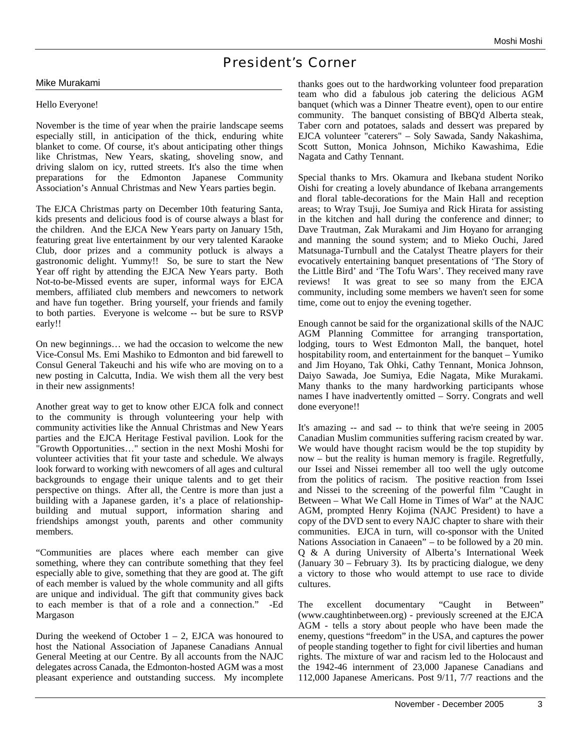## President's Corner

#### Mike Murakami

#### Hello Everyone!

November is the time of year when the prairie landscape seems especially still, in anticipation of the thick, enduring white blanket to come. Of course, it's about anticipating other things like Christmas, New Years, skating, shoveling snow, and driving slalom on icy, rutted streets. It's also the time when preparations for the Edmonton Japanese Community Association's Annual Christmas and New Years parties begin.

The EJCA Christmas party on December 10th featuring Santa, kids presents and delicious food is of course always a blast for the children. And the EJCA New Years party on January 15th, featuring great live entertainment by our very talented Karaoke Club, door prizes and a community potluck is always a gastronomic delight. Yummy!! So, be sure to start the New Year off right by attending the EJCA New Years party. Both Not-to-be-Missed events are super, informal ways for EJCA members, affiliated club members and newcomers to network and have fun together. Bring yourself, your friends and family to both parties. Everyone is welcome -- but be sure to RSVP early!!

On new beginnings… we had the occasion to welcome the new Vice-Consul Ms. Emi Mashiko to Edmonton and bid farewell to Consul General Takeuchi and his wife who are moving on to a new posting in Calcutta, India. We wish them all the very best in their new assignments!

Another great way to get to know other EJCA folk and connect to the community is through volunteering your help with community activities like the Annual Christmas and New Years parties and the EJCA Heritage Festival pavilion. Look for the "Growth Opportunities…" section in the next Moshi Moshi for volunteer activities that fit your taste and schedule. We always look forward to working with newcomers of all ages and cultural backgrounds to engage their unique talents and to get their perspective on things. After all, the Centre is more than just a building with a Japanese garden, it's a place of relationshipbuilding and mutual support, information sharing and friendships amongst youth, parents and other community members.

"Communities are places where each member can give something, where they can contribute something that they feel especially able to give, something that they are good at. The gift of each member is valued by the whole community and all gifts are unique and individual. The gift that community gives back to each member is that of a role and a connection." -Ed Margason

During the weekend of October  $1 - 2$ , EJCA was honoured to host the National Association of Japanese Canadians Annual General Meeting at our Centre. By all accounts from the NAJC delegates across Canada, the Edmonton-hosted AGM was a most pleasant experience and outstanding success. My incomplete thanks goes out to the hardworking volunteer food preparation team who did a fabulous job catering the delicious AGM banquet (which was a Dinner Theatre event), open to our entire community. The banquet consisting of BBQ'd Alberta steak, Taber corn and potatoes, salads and dessert was prepared by EJCA volunteer "caterers" – Soly Sawada, Sandy Nakashima, Scott Sutton, Monica Johnson, Michiko Kawashima, Edie Nagata and Cathy Tennant.

Special thanks to Mrs. Okamura and Ikebana student Noriko Oishi for creating a lovely abundance of Ikebana arrangements and floral table-decorations for the Main Hall and reception areas; to Wray Tsuji, Joe Sumiya and Rick Hirata for assisting in the kitchen and hall during the conference and dinner; to Dave Trautman, Zak Murakami and Jim Hoyano for arranging and manning the sound system; and to Mieko Ouchi, Jared Matsunaga-Turnbull and the Catalyst Theatre players for their evocatively entertaining banquet presentations of 'The Story of the Little Bird' and 'The Tofu Wars'. They received many rave reviews! It was great to see so many from the EJCA community, including some members we haven't seen for some time, come out to enjoy the evening together.

Enough cannot be said for the organizational skills of the NAJC AGM Planning Committee for arranging transportation, lodging, tours to West Edmonton Mall, the banquet, hotel hospitability room, and entertainment for the banquet – Yumiko and Jim Hoyano, Tak Ohki, Cathy Tennant, Monica Johnson, Daiyo Sawada, Joe Sumiya, Edie Nagata, Mike Murakami. Many thanks to the many hardworking participants whose names I have inadvertently omitted – Sorry. Congrats and well done everyone!!

It's amazing -- and sad -- to think that we're seeing in 2005 Canadian Muslim communities suffering racism created by war. We would have thought racism would be the top stupidity by now – but the reality is human memory is fragile. Regretfully, our Issei and Nissei remember all too well the ugly outcome from the politics of racism. The positive reaction from Issei and Nissei to the screening of the powerful film "Caught in Between – What We Call Home in Times of War" at the NAJC AGM, prompted Henry Kojima (NAJC President) to have a copy of the DVD sent to every NAJC chapter to share with their communities. EJCA in turn, will co-sponsor with the United Nations Association in Canaeen" – to be followed by a 20 min. Q & A during University of Alberta's International Week (January 30 – February 3). Its by practicing dialogue, we deny a victory to those who would attempt to use race to divide cultures.

The excellent documentary "Caught in Between" (www.caughtinbetween.org) - previously screened at the EJCA AGM - tells a story about people who have been made the enemy, questions "freedom" in the USA, and captures the power of people standing together to fight for civil liberties and human rights. The mixture of war and racism led to the Holocaust and the 1942-46 internment of 23,000 Japanese Canadians and 112,000 Japanese Americans. Post 9/11, 7/7 reactions and the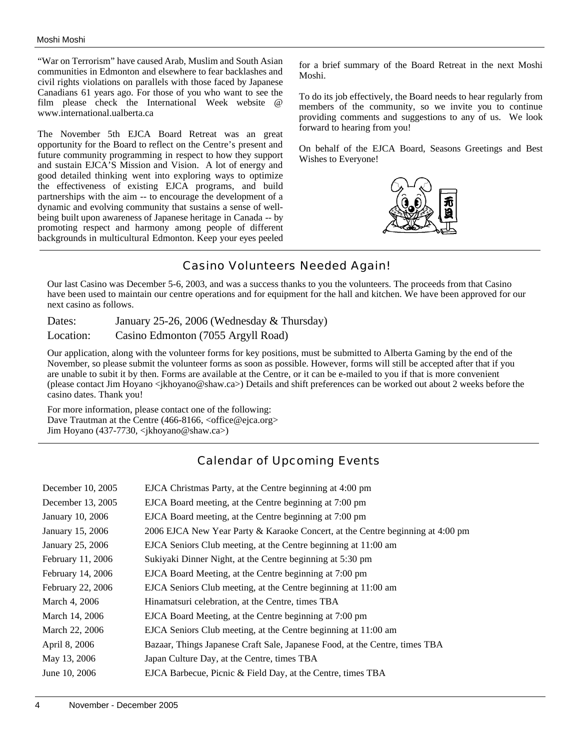"War on Terrorism" have caused Arab, Muslim and South Asian communities in Edmonton and elsewhere to fear backlashes and civil rights violations on parallels with those faced by Japanese Canadians 61 years ago. For those of you who want to see the film please check the International Week website @ www.international.ualberta.ca

The November 5th EJCA Board Retreat was an great opportunity for the Board to reflect on the Centre's present and future community programming in respect to how they support and sustain EJCA'S Mission and Vision. A lot of energy and good detailed thinking went into exploring ways to optimize the effectiveness of existing EJCA programs, and build partnerships with the aim -- to encourage the development of a dynamic and evolving community that sustains a sense of wellbeing built upon awareness of Japanese heritage in Canada -- by promoting respect and harmony among people of different backgrounds in multicultural Edmonton. Keep your eyes peeled for a brief summary of the Board Retreat in the next Moshi Moshi.

To do its job effectively, the Board needs to hear regularly from members of the community, so we invite you to continue providing comments and suggestions to any of us. We look forward to hearing from you!

On behalf of the EJCA Board, Seasons Greetings and Best Wishes to Everyone!



## Casino Volunteers Needed Again!

Our last Casino was December 5-6, 2003, and was a success thanks to you the volunteers. The proceeds from that Casino have been used to maintain our centre operations and for equipment for the hall and kitchen. We have been approved for our next casino as follows.

Dates: January 25-26, 2006 (Wednesday & Thursday) Location: Casino Edmonton (7055 Argyll Road)

Our application, along with the volunteer forms for key positions, must be submitted to Alberta Gaming by the end of the November, so please submit the volunteer forms as soon as possible. However, forms will still be accepted after that if you are unable to subit it by then. Forms are available at the Centre, or it can be e-mailed to you if that is more convenient (please contact Jim Hoyano <jkhoyano@shaw.ca>) Details and shift preferences can be worked out about 2 weeks before the casino dates. Thank you!

For more information, please contact one of the following: Dave Trautman at the Centre (466-8166, <office@ejca.org> Jim Hoyano (437-7730, <jkhoyano@shaw.ca>)

## Calendar of Upcoming Events

| December 10, 2005 | EJCA Christmas Party, at the Centre beginning at 4:00 pm                       |
|-------------------|--------------------------------------------------------------------------------|
| December 13, 2005 | EJCA Board meeting, at the Centre beginning at 7:00 pm                         |
| January 10, 2006  | EJCA Board meeting, at the Centre beginning at 7:00 pm                         |
| January 15, 2006  | 2006 EJCA New Year Party & Karaoke Concert, at the Centre beginning at 4:00 pm |
| January 25, 2006  | EJCA Seniors Club meeting, at the Centre beginning at 11:00 am                 |
| February 11, 2006 | Sukiyaki Dinner Night, at the Centre beginning at 5:30 pm                      |
| February 14, 2006 | EJCA Board Meeting, at the Centre beginning at 7:00 pm                         |
| February 22, 2006 | EJCA Seniors Club meeting, at the Centre beginning at 11:00 am                 |
| March 4, 2006     | Hinamatsuri celebration, at the Centre, times TBA                              |
| March 14, 2006    | EJCA Board Meeting, at the Centre beginning at 7:00 pm                         |
| March 22, 2006    | EJCA Seniors Club meeting, at the Centre beginning at 11:00 am                 |
| April 8, 2006     | Bazaar, Things Japanese Craft Sale, Japanese Food, at the Centre, times TBA    |
| May 13, 2006      | Japan Culture Day, at the Centre, times TBA                                    |
| June 10, 2006     | EJCA Barbecue, Picnic & Field Day, at the Centre, times TBA                    |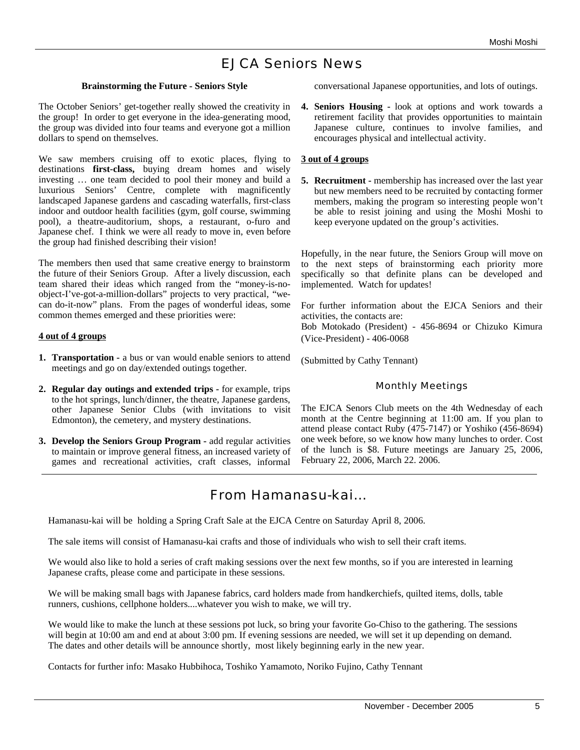## EJCA Seniors News

#### **Brainstorming the Future - Seniors Style**

The October Seniors' get-together really showed the creativity in the group! In order to get everyone in the idea-generating mood, the group was divided into four teams and everyone got a million dollars to spend on themselves.

We saw members cruising off to exotic places, flying to destinations **first-class,** buying dream homes and wisely investing … one team decided to pool their money and build a luxurious Seniors' Centre, complete with magnificently landscaped Japanese gardens and cascading waterfalls, first-class indoor and outdoor health facilities (gym, golf course, swimming pool), a theatre-auditorium, shops, a restaurant, o-furo and Japanese chef. I think we were all ready to move in, even before the group had finished describing their vision!

The members then used that same creative energy to brainstorm the future of their Seniors Group. After a lively discussion, each team shared their ideas which ranged from the "money-is-noobject-I've-got-a-million-dollars" projects to very practical, "wecan do-it-now" plans. From the pages of wonderful ideas, some common themes emerged and these priorities were:

#### **4 out of 4 groups**

- **1. Transportation** a bus or van would enable seniors to attend meetings and go on day/extended outings together.
- **2. Regular day outings and extended trips** for example, trips to the hot springs, lunch/dinner, the theatre, Japanese gardens, other Japanese Senior Clubs (with invitations to visit Edmonton), the cemetery, and mystery destinations.
- **3. Develop the Seniors Group Program** add regular activities to maintain or improve general fitness, an increased variety of games and recreational activities, craft classes, informal

conversational Japanese opportunities, and lots of outings.

**4. Seniors Housing -** look at options and work towards a retirement facility that provides opportunities to maintain Japanese culture, continues to involve families, and encourages physical and intellectual activity.

#### **3 out of 4 groups**

**5. Recruitment -** membership has increased over the last year but new members need to be recruited by contacting former members, making the program so interesting people won't be able to resist joining and using the Moshi Moshi to keep everyone updated on the group's activities.

Hopefully, in the near future, the Seniors Group will move on to the next steps of brainstorming each priority more specifically so that definite plans can be developed and implemented. Watch for updates!

For further information about the EJCA Seniors and their activities, the contacts are: Bob Motokado (President) - 456-8694 or Chizuko Kimura (Vice-President) - 406-0068

(Submitted by Cathy Tennant)

#### Monthly Meetings

The EJCA Senors Club meets on the 4th Wednesday of each month at the Centre beginning at 11:00 am. If you plan to attend please contact Ruby (475-7147) or Yoshiko (456-8694) one week before, so we know how many lunches to order. Cost of the lunch is \$8. Future meetings are January 25, 2006, February 22, 2006, March 22. 2006.

## From Hamanasu-kai...

Hamanasu-kai will be holding a Spring Craft Sale at the EJCA Centre on Saturday April 8, 2006.

The sale items will consist of Hamanasu-kai crafts and those of individuals who wish to sell their craft items.

We would also like to hold a series of craft making sessions over the next few months, so if you are interested in learning Japanese crafts, please come and participate in these sessions.

We will be making small bags with Japanese fabrics, card holders made from handkerchiefs, quilted items, dolls, table runners, cushions, cellphone holders....whatever you wish to make, we will try.

We would like to make the lunch at these sessions pot luck, so bring your favorite Go-Chiso to the gathering. The sessions will begin at 10:00 am and end at about 3:00 pm. If evening sessions are needed, we will set it up depending on demand. The dates and other details will be announce shortly, most likely beginning early in the new year.

Contacts for further info: Masako Hubbihoca, Toshiko Yamamoto, Noriko Fujino, Cathy Tennant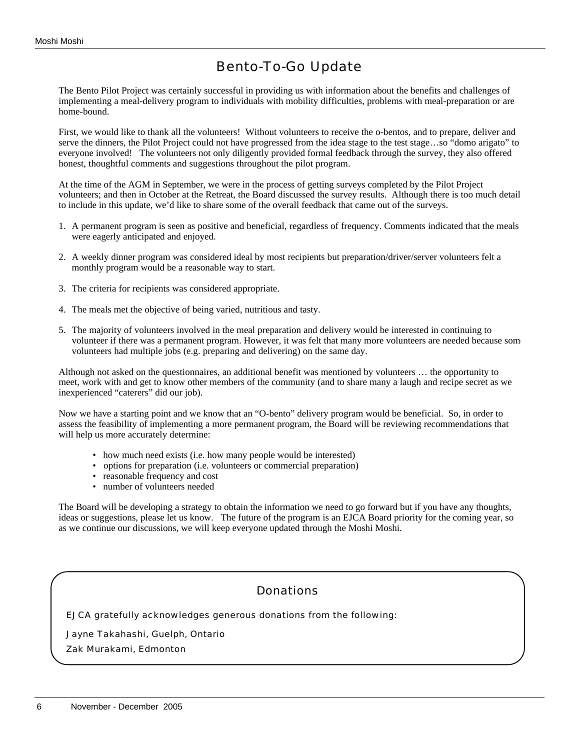# Bento-To-Go Update

The Bento Pilot Project was certainly successful in providing us with information about the benefits and challenges of implementing a meal-delivery program to individuals with mobility difficulties, problems with meal-preparation or are home-bound.

First, we would like to thank all the volunteers! Without volunteers to receive the o-bentos, and to prepare, deliver and serve the dinners, the Pilot Project could not have progressed from the idea stage to the test stage…so "domo arigato" to everyone involved! The volunteers not only diligently provided formal feedback through the survey, they also offered honest, thoughtful comments and suggestions throughout the pilot program.

At the time of the AGM in September, we were in the process of getting surveys completed by the Pilot Project volunteers; and then in October at the Retreat, the Board discussed the survey results. Although there is too much detail to include in this update, we'd like to share some of the overall feedback that came out of the surveys.

- 1. A permanent program is seen as positive and beneficial, regardless of frequency. Comments indicated that the meals were eagerly anticipated and enjoyed.
- 2. A weekly dinner program was considered ideal by most recipients but preparation/driver/server volunteers felt a monthly program would be a reasonable way to start.
- 3. The criteria for recipients was considered appropriate.
- 4. The meals met the objective of being varied, nutritious and tasty.
- 5. The majority of volunteers involved in the meal preparation and delivery would be interested in continuing to volunteer if there was a permanent program. However, it was felt that many more volunteers are needed because some volunteers had multiple jobs (e.g. preparing and delivering) on the same day.

Although not asked on the questionnaires, an additional benefit was mentioned by volunteers … the opportunity to meet, work with and get to know other members of the community (and to share many a laugh and recipe secret as we inexperienced "caterers" did our job).

Now we have a starting point and we know that an "O-bento" delivery program would be beneficial. So, in order to assess the feasibility of implementing a more permanent program, the Board will be reviewing recommendations that will help us more accurately determine:

- how much need exists (i.e. how many people would be interested)
- options for preparation (i.e. volunteers or commercial preparation)
- reasonable frequency and cost
- number of volunteers needed

The Board will be developing a strategy to obtain the information we need to go forward but if you have any thoughts, ideas or suggestions, please let us know. The future of the program is an EJCA Board priority for the coming year, so as we continue our discussions, we will keep everyone updated through the Moshi Moshi.

## Donations

EJCA gratefully acknowledges generous donations from the following:

Jayne Takahashi, Guelph, Ontario

Zak Murakami, Edmonton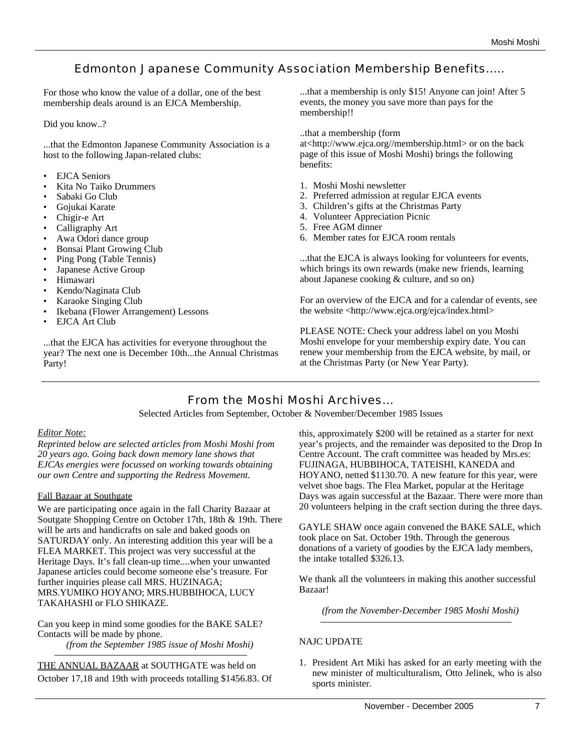## Edmonton Japanese Community Association Membership Benefits.....

For those who know the value of a dollar, one of the best membership deals around is an EJCA Membership.

Did you know..?

...that the Edmonton Japanese Community Association is a host to the following Japan-related clubs:

- EJCA Seniors
- Kita No Taiko Drummers
- Sabaki Go Club
- Gojukai Karate
- Chigir-e Art
- Calligraphy Art
- Awa Odori dance group
- Bonsai Plant Growing Club
- Ping Pong (Table Tennis)
- Japanese Active Group
- Himawari
- Kendo/Naginata Club
- Karaoke Singing Club
- Ikebana (Flower Arrangement) Lessons
- EJCA Art Club

...that the EJCA has activities for everyone throughout the year? The next one is December 10th...the Annual Christmas Party!

...that a membership is only \$15! Anyone can join! After 5 events, the money you save more than pays for the membership!!

..that a membership (form

at<http://www.ejca.org//membership.html> or on the back page of this issue of Moshi Moshi) brings the following benefits:

- 1. Moshi Moshi newsletter
- 2. Preferred admission at regular EJCA events
- 3. Children's gifts at the Christmas Party
- 4. Volunteer Appreciation Picnic
- 5. Free AGM dinner
- 6. Member rates for EJCA room rentals

...that the EJCA is always looking for volunteers for events, which brings its own rewards (make new friends, learning about Japanese cooking & culture, and so on)

For an overview of the EJCA and for a calendar of events, see the website <http://www.ejca.org/ejca/index.html>

PLEASE NOTE: Check your address label on you Moshi Moshi envelope for your membership expiry date. You can renew your membership from the EJCA website, by mail, or at the Christmas Party (or New Year Party).

## From the Moshi Moshi Archives...

Selected Articles from September, October & November/December 1985 Issues

#### *Editor Note:*

*Reprinted below are selected articles from Moshi Moshi from 20 years ago. Going back down memory lane shows that EJCAs energies were focussed on working towards obtaining our own Centre and supporting the Redress Movement.*

#### Fall Bazaar at Southgate

We are participating once again in the fall Charity Bazaar at Soutgate Shopping Centre on October 17th, 18th & 19th. There will be arts and handicrafts on sale and baked goods on SATURDAY only. An interesting addition this year will be a FLEA MARKET. This project was very successful at the Heritage Days. It's fall clean-up time....when your unwanted Japanese articles could become someone else's treasure. For further inquiries please call MRS. HUZINAGA; MRS.YUMIKO HOYANO; MRS.HUBBIHOCA, LUCY TAKAHASHI or FLO SHIKAZE.

Can you keep in mind some goodies for the BAKE SALE? Contacts will be made by phone. *(from the September 1985 issue of Moshi Moshi)*

THE ANNUAL BAZAAR at SOUTHGATE was held on October 17,18 and 19th with proceeds totalling \$1456.83. Of this, approximately \$200 will be retained as a starter for next year's projects, and the remainder was deposited to the Drop In Centre Account. The craft committee was headed by Mrs.es: FUJINAGA, HUBBIHOCA, TATEISHI, KANEDA and HOYANO, netted \$1130.70. A new feature for this year, were velvet shoe bags. The Flea Market, popular at the Heritage Days was again successful at the Bazaar. There were more than 20 volunteers helping in the craft section during the three days.

GAYLE SHAW once again convened the BAKE SALE, which took place on Sat. October 19th. Through the generous donations of a variety of goodies by the EJCA lady members, the intake totalled \$326.13.

We thank all the volunteers in making this another successful Bazaar!

*(from the November-December 1985 Moshi Moshi)*

#### NAJC UPDATE

1. President Art Miki has asked for an early meeting with the new minister of multiculturalism, Otto Jelinek, who is also sports minister.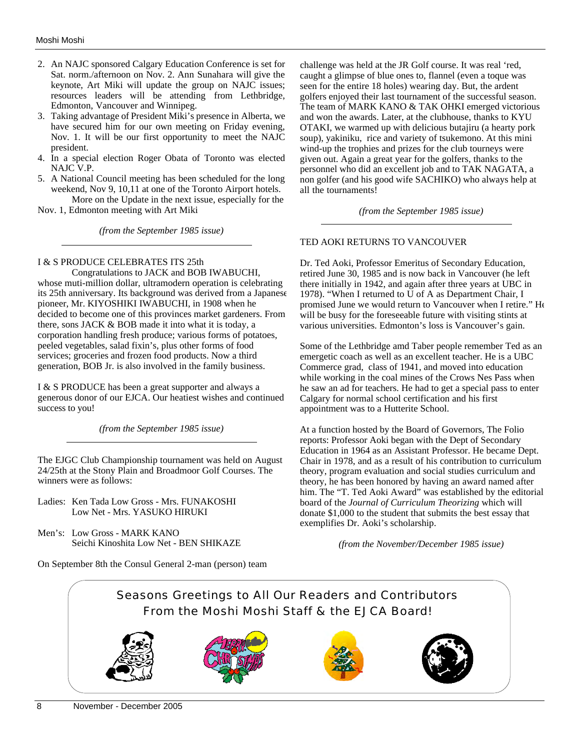- 2. An NAJC sponsored Calgary Education Conference is set for Sat. norm./afternoon on Nov. 2. Ann Sunahara will give the keynote, Art Miki will update the group on NAJC issues; resources leaders will be attending from Lethbridge, Edmonton, Vancouver and Winnipeg.
- 3. Taking advantage of President Miki's presence in Alberta, we have secured him for our own meeting on Friday evening, Nov. 1. It will be our first opportunity to meet the NAJC president.
- 4. In a special election Roger Obata of Toronto was elected NAJC V.P.
- 5. A National Council meeting has been scheduled for the long weekend, Nov 9, 10,11 at one of the Toronto Airport hotels. More on the Update in the next issue, especially for the

Nov. 1, Edmonton meeting with Art Miki

*(from the September 1985 issue)*

#### I & S PRODUCE CELEBRATES ITS 25th

Congratulations to JACK and BOB IWABUCHI, whose muti-million dollar, ultramodern operation is celebrating its 25th anniversary. Its background was derived from a Japanese pioneer, Mr. KIYOSHIKI IWABUCHI, in 1908 when he decided to become one of this provinces market gardeners. From there, sons JACK & BOB made it into what it is today, a corporation handling fresh produce; various forms of potatoes, peeled vegetables, salad fixin's, plus other forms of food services; groceries and frozen food products. Now a third generation, BOB Jr. is also involved in the family business.

I & S PRODUCE has been a great supporter and always a generous donor of our EJCA. Our heatiest wishes and continued success to you!

*(from the September 1985 issue)*

The EJGC Club Championship tournament was held on August 24/25th at the Stony Plain and Broadmoor Golf Courses. The winners were as follows:

Ladies: Ken Tada Low Gross - Mrs. FUNAKOSHI Low Net - Mrs. YASUKO HIRUKI

Men's: Low Gross - MARK KANO Seichi Kinoshita Low Net - BEN SHIKAZE

On September 8th the Consul General 2-man (person) team

challenge was held at the JR Golf course. It was real 'red, caught a glimpse of blue ones to, flannel (even a toque was seen for the entire 18 holes) wearing day. But, the ardent golfers enjoyed their last tournament of the successful season. The team of MARK KANO & TAK OHKI emerged victorious and won the awards. Later, at the clubhouse, thanks to KYU OTAKI, we warmed up with delicious butajiru (a hearty pork soup), yakiniku, rice and variety of tsukemono. At this mini wind-up the trophies and prizes for the club tourneys were given out. Again a great year for the golfers, thanks to the personnel who did an excellent job and to TAK NAGATA, a non golfer (and his good wife SACHIKO) who always help at all the tournaments!

*(from the September 1985 issue)*

#### TED AOKI RETURNS TO VANCOUVER

Dr. Ted Aoki, Professor Emeritus of Secondary Education, retired June 30, 1985 and is now back in Vancouver (he left there initially in 1942, and again after three years at UBC in 1978). "When I returned to U of A as Department Chair, I promised June we would return to Vancouver when I retire." He will be busy for the foreseeable future with visiting stints at various universities. Edmonton's loss is Vancouver's gain.

Some of the Lethbridge amd Taber people remember Ted as an emergetic coach as well as an excellent teacher. He is a UBC Commerce grad, class of 1941, and moved into education while working in the coal mines of the Crows Nes Pass when he saw an ad for teachers. He had to get a special pass to enter Calgary for normal school certification and his first appointment was to a Hutterite School.

At a function hosted by the Board of Governors, The Folio reports: Professor Aoki began with the Dept of Secondary Education in 1964 as an Assistant Professor. He became Dept. Chair in 1978, and as a result of his contribution to curriculum theory, program evaluation and social studies curriculum and theory, he has been honored by having an award named after him. The "T. Ted Aoki Award" was established by the editorial board of the *Journal of Curriculum Theorizing* which will donate \$1,000 to the student that submits the best essay that exemplifies Dr. Aoki's scholarship.

*(from the November/December 1985 issue)*

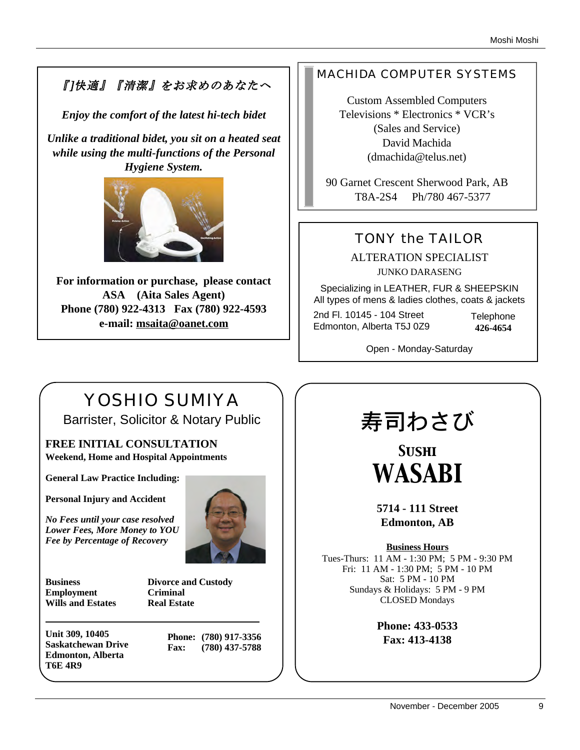# 『]快適』『清潔』をお求めのあなたへ

*Enjoy the comfort of the latest hi-tech bidet*

*Unlike a traditional bidet, you sit on a heated seat while using the multi-functions of the Personal Hygiene System.* 



**For information or purchase, please contact ASA (Aita Sales Agent) Phone (780) 922-4313 Fax (780) 922-4593 e-mail: msaita@oanet.com**

## MACHIDA COMPUTER SYSTEMS

Custom Assembled Computers Televisions \* Electronics \* VCR's (Sales and Service) David Machida (dmachida@telus.net)

90 Garnet Crescent Sherwood Park, AB T8A-2S4 Ph/780 467-5377

# TONY the TAILOR

ALTERATION SPECIALIST JUNKO DARASENG

Specializing in LEATHER, FUR & SHEEPSKIN All types of mens & ladies clothes, coats & jackets

2nd Fl. 10145 - 104 Street Edmonton, Alberta T5J 0Z9 **Telephone 426-4654**

Open - Monday-Saturday

# YOSHIO SUMIYA

Barrister, Solicitor & Notary Public

**FREE INITIAL CONSULTATION Weekend, Home and Hospital Appointments**

**General Law Practice Including:**

**Personal Injury and Accident**

*No Fees until your case resolved Lower Fees, More Money to YOU Fee by Percentage of Recovery*



**Business Divorce and Custody Employment Criminal Wills and Estates Real Estate**

**Unit 309, 10405 Saskatchewan Drive Edmonton, Alberta T6E 4R9**

**Phone: (780) 917-3356 Fax: (780) 437-5788**

# 寿司わさび

*Sushi WASABI*

**5714 - 111 Street Edmonton, AB**

**Business Hours**

Tues-Thurs: 11 AM - 1:30 PM; 5 PM - 9:30 PM Fri: 11 AM - 1:30 PM; 5 PM - 10 PM Sat: 5 PM - 10 PM Sundays & Holidays: 5 PM - 9 PM CLOSED Mondays

> **Phone: 433-0533 Fax: 413-4138**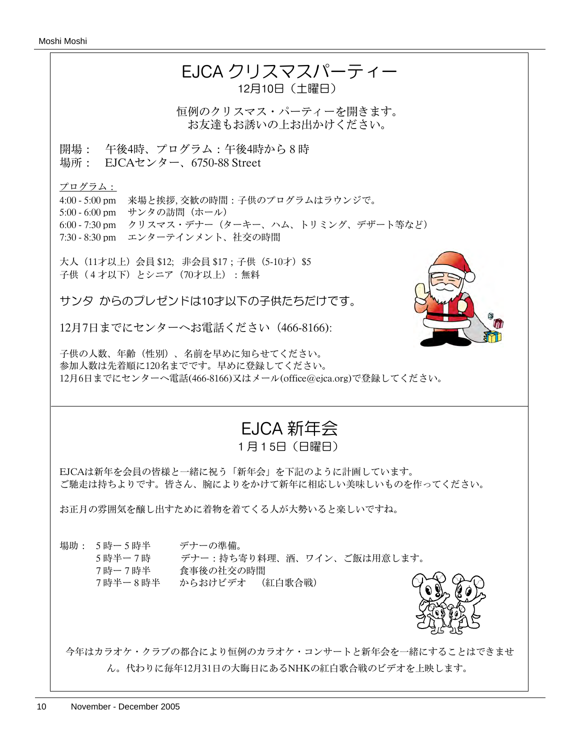#### Moshi Moshi

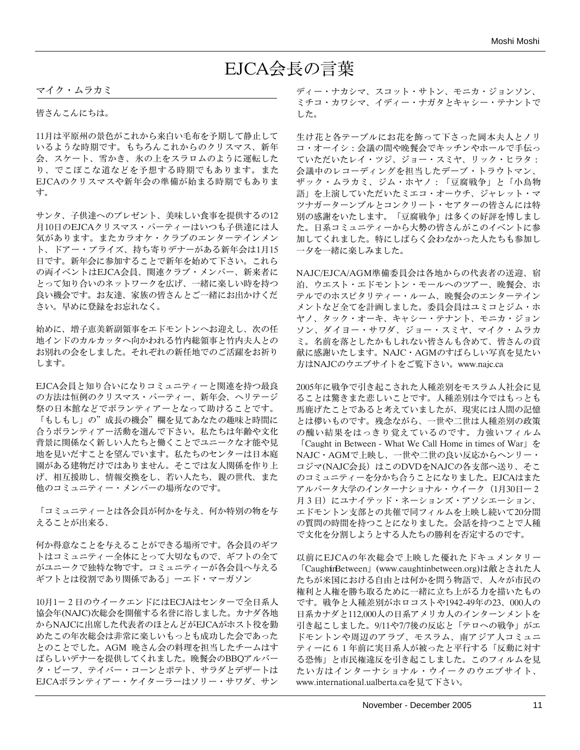# EJCA会長の言葉

マイク・ムラカミ

皆さんこんにちは。

11月は平原州の景色がこれから来白い毛布を予期して静止して いるような時期です。もちろんこれからのクリスマス、新年 会、スケート、雪かき、氷の上をスラロムのように運転した り、でこぼこな道などを予想する時期でもあります。また EJCAのクリスマスや新年会の準備が始まる時期でもありま す。

サンタ、子供達へのプレゼント、美味しい食事を提供するの12 月10日のEJCAクリスマス・パーティーはいつも子供達には人 気があります。またカラオケ・クラブのエンターテインメン ト、ドアー・プライズ、持ち寄りデナーがある新年会は1月15 日です。新年会に参加することで新年を始めて下さい。これら の両イベントはEJCA会員、関連クラブ・メンバー、新来者に とって知り合いのネットワークを広げ、一緒に楽しい時を持つ 良い機会です。お友達、家族の皆さんとご一緒にお出かけくだ さい。早めに登録をお忘れなく。

始めに、増子恵美新副領事をエドモントンへお迎えし、次の任 地インドのカルカッタへ向かわれる竹内総領事と竹内夫人との お別れの会をしました。それぞれの新任地でのご活躍をお祈り します。

EJCA会員と知り合いになりコミュニティーと関連を持つ最良 の方法は恒例のクリスマス・パーティー、新年会、ヘリテージ 祭の日本館などでボランティアーとなって助けることです。 「もしもし」の"成長の機会"欄を見てあなたの趣味と時間に 合うボランティアー活動を選んで下さい。私たちは年齢や文化 背景に関係なく新しい人たちと働くことでユニークな才能や見 地を見いだすことを望んでいます。私たちのセンターは日本庭 園がある建物だけではありません。そこでは友人関係を作り上 げ、相互援助し、情報交換をし、若い人たち、親の世代、また 他のコミュニティー・メンバーの場所なのです。

「コミュニティーとは各会員が何かを与え、何か特別の物を与 えることが出来る、

何か得意なことを与えることができる場所です。各会員のギフ トはコミュニティー全体にとって大切なもので、ギフトの全て がユニークで独特な物です。コミュニティーが各会員へ与える ギフトとは役割であり関係である」ーエド・マ-ガソン

10月1-2日のウイークエンドにはECJAはセンターで全日系人 協会年(NAJC)次総会を開催する名誉に浴しました。カナダ各地 からNAJCに出席した代表者のほとんどがEJCAがホスト役を勤 めたこの年次総会は非常に楽しいもっとも成功した会であった とのことでした。AGM 晩さん会の料理を担当したチームはす ばらしいデナーを提供してくれました。晩餐会のBBQアルバー タ・ビーフ、テイバー・コーンとポテト、サラダとデザートは EJCAボランティアー・ケイターラーはソリー・サワダ、サン ディー・ナカシマ、スコット・サトン、モニカ・ジョンソン、 ミチコ・カワシマ、イディー・ナガタとキャシー・テナントで した。

生け花と各テーブルにお花を飾って下さった岡本夫人とノリ コ・オーイシ:会議の間や晩餐会でキッチンやホールで手伝っ ていただいたレイ・ツジ、ジョー・スミヤ、リック・ヒラタ: 会議中のレコーディングを担当したデーブ・トラウトマン、 ザック・ムラカミ、ジム・ホヤノ:「豆腐戦争」と「小鳥物 語」を上演していただいたミエコ・オーウチ、ジャレット・マ ツナガーターンブルとコンクリート・セアターの皆さんには特 別の感謝をいたします。「豆腐戦争」は多くの好評を博しまし た。日系コミュニティーから大勢の皆さんがこのイベントに参 加してくれました。特にしばらく会わなかった人たちも参加し 一夕を一緒に楽しみました。

NAJC/EJCA/AGM準備委員会は各地からの代表者の送迎、宿 泊、ウエスト・エドモントン・モールへのツアー、晩餐会、ホ テルでのホスピタリティー・ルーム、晩餐会のエンターテイン メントなど全てを計画しました。委員会員はユミコとジム・ホ ヤノ、タック・オーキ、キャシー・テナント、モニカ・ジョン ソン、ダイヨー・サワダ、ジョー・スミヤ、マイク・ムラカ ミ。名前を落としたかもしれない皆さんも含めて、皆さんの貢 献に感謝いたします。NAJC・AGMのすばらしい写真を見たい 方はNAJCのウエブサイトをご覧下さい。www.najc.ca

2005年に戦争で引き起こされた人種差別をモスラム人社会に見 ることは驚きまた悲しいことです。人種差別は今ではもっとも 馬鹿げたことであると考えていましたが、現実には人間の記憶 とは儚いものです。残念ながら、一世や二世は人種差別の政策 の醜い結果をはっきり覚えているのです。力強いフィルム 「Caught in Between - What We Call Home in times of War」を NAJC・AGMで上映し、一世や二世の良い反応からヘンリー・ コジマ(NAJC会長)はこのDVDをNAJCの各支部へ送り、そこ のコミュニティーを分かち合うことになりました。EJCAはまた アルバータ大学のインターナショナル・ウイーク (1月30日ー2 月3日)にユナイテッド・ネーションズ・アソシエーション、 エドモントン支部との共催で同フィルムを上映し続いて20分間 の質問の時間を持つことになりました。会話を持つことで人種 で文化を分割しようとする人たちの勝利を否定するのです。

以前にEJCAの年次総会で上映した優れたドキュメンタリー 「CaughtinBetween」(www.caughtinbetween.org)は敵とされた人 たちが米国における自由とは何かを問う物語で、人々が市民の 権利と人権を勝ち取るために一緒に立ち上がる力を描いたもの です。戦争と人種差別がホロコストや1942-49年の23、000人の 日系カナダと112,000人の日系アメリカ人のインターンメントを 引き起こしました。9/11や7/7後の反応と「テロへの戦争」がエ ドモントンや周辺のアラブ、モスラム、南アジア人コミュニ ティーに61年前に実日系人が被ったと平行する「反動に対す る恐怖」と市民権違反を引き起こしました。このフィルムを見 たい方はインターナショナル・ウイークのウエブサイト、 www.international.ualberta.caを見て下さい。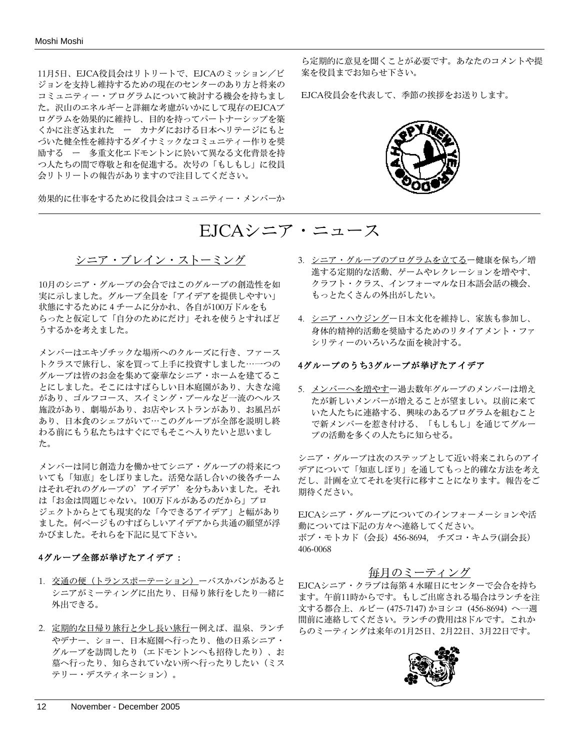11月5日、EJCA役員会はリトリートで、EJCAのミッション/ビ ジョンを支持し維持するための現在のセンターのあり方と将来の コミュニティー・プログラムについて検討する機会を持ちまし た。沢山のエネルギーと詳細な考慮がいかにして現存のEJCAプ ログラムを効果的に維持し、目的を持ってパートナーシップを築 くかに注ぎ込まれた ー カナダにおける日本ヘリテージにもと づいた健全性を維持するダイナミックなコミュニティー作りを奨 励する ー 多重文化エドモントンに於いて異なる文化背景を持 つ人たちの間で尊敬と和を促進する。次号の「もしもし」に役員 会リトリートの報告がありますので注目してください。

効果的に仕事をするために役員会はコミュニティー・メンバーか

ら定期的に意見を聞くことが必要です。あなたのコメントや提 案を役員までお知らせ下さい。

EJCA役員会を代表して、季節の挨拶をお送りします。



# EJCAシニア・ニュース

#### シニア・ブレイン・ストーミング

10月のシニア・グループの会合ではこのグループの創造性を如 実に示しました。グループ全員を「アイデアを提供しやすい」 状態にするために4チームに分かれ、各自が100万ドルをも らったと仮定して「自分のためにだけ」それを使うとすればど うするかを考えました。

メンバーはエキゾチックな場所へのクルーズに行き、ファース トクラスで旅行し、家を買って上手に投資すしました⋯一つの グループは皆のお金を集めて豪華なシニア・ホームを建てるこ とにしました。そこにはすばらしい日本庭園があり、大きな滝 があり、ゴルフコース、スイミング・プールなど一流のヘルス 施設があり、劇場があり、お店やレストランがあり、お風呂が あり、日本食のシェフがいて⋯このグループが全部を説明し終 わる前にもう私たちはすぐにでもそこへ入りたいと思いまし た。

メンバーは同じ創造力を働かせてシニア・グループの将来につ いても「知恵」をしぼりました。活発な話し合いの後各チーム はそれぞれのグループの'アイデア'を分ちあいました。それ は「お金は問題じゃない。100万ドルがあるのだから」プロ ジェクトからとても現実的な「今できるアイデア」と幅があり ました。何ページものすばらしいアイデアから共通の願望が浮 かびました。それらを下記に見て下さい。

#### 4グループ全部が挙げたアイデア:

- 1. 交通の便(トランスポーテーション)ーバスかバンがあると シニアがミーティングに出たり、日帰り旅行をしたり一緒に 外出できる。
- 2. 定期的な日帰り旅行と少し長い旅行ー例えば、温泉、ランチ やデナー、ショー、日本庭園へ行ったり、他の日系シニア・ グループを訪問したり(エドモントンへも招待したり)、お 墓へ行ったり、知らされていない所へ行ったりしたい(ミス テリー・デスティネーション)。
- 3. シニア・グループのプログラムを立てる一健康を保ち/増 進する定期的な活動、ゲームやレクレーションを増やす、 クラフト・クラス、インフォーマルな日本語会話の機会、 もっとたくさんの外出がしたい。
- 4. シニア・ハウジングー日本文化を維持し、家族も参加し、 身体的精神的活動を奨励するためのリタイアメント・ファ シリティーのいろいろな面を検討する。

#### 4グループのうち3グループが挙げたアイデア

5. メンバーへを増やすー過去数年グループのメンバーは増え たが新しいメンバーが増えることが望ましい。以前に来て いた人たちに連絡する、興味のあるプログラムを組むこと で新メンバーを惹き付ける、「もしもし」を通じてグルー プの活動を多くの人たちに知らせる。

シニア・グループは次のステップとして近い将来これらのアイ デアについて「知恵しぼり」を通してもっと的確な方法を考え だし、計画を立てそれを実行に移すことになります。報告をご 期待ください。

EJCAシニア・グループについてのインフォーメーションや活 動については下記の方々へ連絡してください。 ボブ・モトカド(会長)456-8694, チズコ・キムラ(副会長) 406-0068

#### 毎月のミーティング

EJCAシニア・クラブは毎第4水曜日にセンターで会合を持ち ます。午前11時からです。もしご出席される場合はランチを注 文する都合上、ルビー (475-7147) かヨシコ (456-8694) へ一週 間前に連絡してください。ランチの費用は8ドルです。これか らのミーティングは来年の1月25日、2月22日、3月22日です。

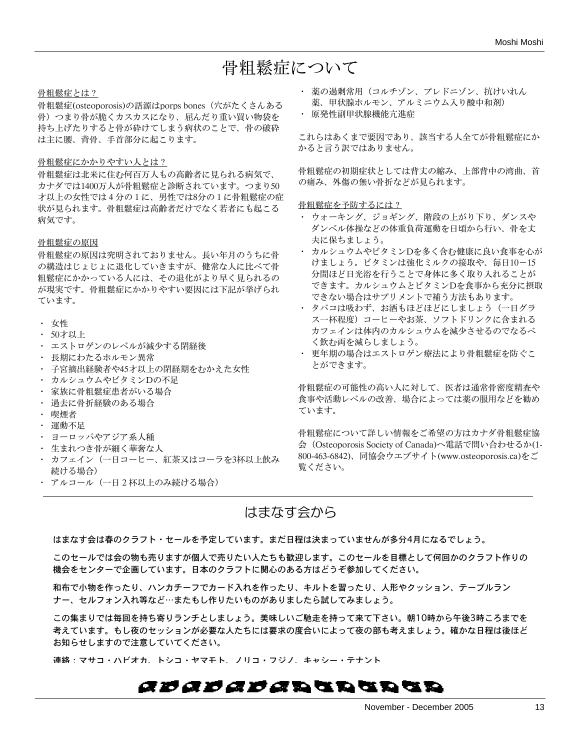# 骨粗鬆症について

#### 骨粗鬆症とは?

骨粗鬆症(osteoporosis)の語源はporps bones (穴がたくさんある 骨)つまり骨が脆くカスカスになり、屈んだり重い買い物袋を 持ち上げたりすると骨が砕けてしまう病状のことで、骨の破砕 は主に腰、背骨、手首部分に起こります。

#### 骨粗鬆症にかかりやすい人とは?

骨粗鬆症は北米に住む何百万人もの高齢者に見られる病気で、 カナダでは1400万人が骨粗鬆症と診断されています。つまり50 才以上の女性では4分の1に、男性では8分の1に骨粗鬆症の症 状が見られます。骨粗鬆症は高齢者だけでなく若者にも起こる 病気です。

#### 骨粗鬆症の原因

骨粗鬆症の原因は究明されておりません。長い年月のうちに骨 の構造はじょじょに退化していきますが、健常な人に比べて骨 粗鬆症にかかっている人には、その退化がより早く見られるの が現実です。骨粗鬆症にかかりやすい要因には下記が挙げられ ています。

- ・ 女性
- ・ 50才以上
- ・ エストロゲンのレベルが減少する閉経後
- ・ 長期にわたるホルモン異常
- ・ 子宮摘出経験者や45才以上の閉経期をむかえた女性
- ・ カルシュウムやビタミンDの不足
- ・ 家族に骨粗鬆症患者がいる場合
- ・ 過去に骨折経験のある場合
- ・ 喫煙者
- ・ 運動不足
- ・ ヨーロッパやアジア系人種
- ・ 生まれつき骨が細く華奢な人
- ・ カフェイン(一日コーヒー、紅茶又はコーラを3杯以上飲み 続ける場合)
- ・ アルコール(一日2杯以上のみ続ける場合)
- ・ 薬の過剰常用(コルチゾン、プレドニゾン、抗けいれん 薬、甲状腺ホルモン、アルミニウム入り酸中和剤)
- ・ 原発性副甲状腺機能亢進症

これらはあくまで要因であり、該当する人全てが骨粗鬆症にか かると言う訳ではありません。

骨粗鬆症の初期症状としては背丈の縮み、上部背中の湾曲、首 の痛み、外傷の無い骨折などが見られます。

骨粗鬆症を予防するには?

- ・ ウォーキング、ジョギング、階段の上がり下り、ダンスや ダンベル体操などの体重負荷運動を日頃から行い、骨を丈 夫に保ちましょう。
- ・ カルシュウムやビタミンDを多く含む健康に良い食事を心が けましょう。ビタミンは強化ミルクの接取や、毎日10-15 分間ほど日光浴を行うことで身体に多く取り入れることが できます。カルシュウムとビタミンDを食事から充分に摂取 できない場合はサプリメントで補う方法もあります。
- ・ タバコは吸わず、お酒もほどほどにしましょう(一日グラ ス一杯程度)コーヒーやお茶、ソフトドリンクに含まれる カフェインは体内のカルシュウムを減少させるのでなるべ く飲む両を減らしましょう。
- ・ 更年期の場合はエストロゲン療法により骨粗鬆症を防ぐこ とができます。

骨粗鬆症の可能性の高い人に対して、医者は通常骨密度精査や 食事や活動レベルの改善、場合によっては薬の服用などを勧め ています。

骨粗鬆症について詳しい情報をご希望の方はカナダ骨粗鬆症協 会(Osteoporosis Society of Canada)へ電話で問い合わせるか(1- 800-463-6842)、同協会ウエブサイト(www.osteoporosis.ca)をご 覧ください。

## はまなす会から

はまなす会は春のクラフト・セールを予定しています。まだ日程は決まっていませんが多分4月になるでしょう。

このセールでは会の物も売りますが個人で売りたい人たちも歓迎します。このセールを目標として何回かのクラフト作りの 機会をセンターで企画しています。日本のクラフトに関心のある方はどうぞ参加してください。

和布で小物を作ったり、ハンカチーフでカード入れを作ったり、キルトを習ったり、人形やクッション、テーブルラン ナー、セルフォン入れ等など…またもし作りたいものがありましたら試してみましょう。

この集まりでは毎回を持ち寄りランチとしましょう。美味しいご馳走を持って来て下さい。朝10時から午後3時ころまでを 考えています。もし夜のセッションが必要な人たちには要求の度合いによって夜の部も考えましょう。確かな日程は後ほど お知らせしますので注意していてください。

連絡:マサコ・ハビオカ、トシコ・ヤマモト、ノリコ・フジノ、キャシー・テナント

## *abababa*ran Br